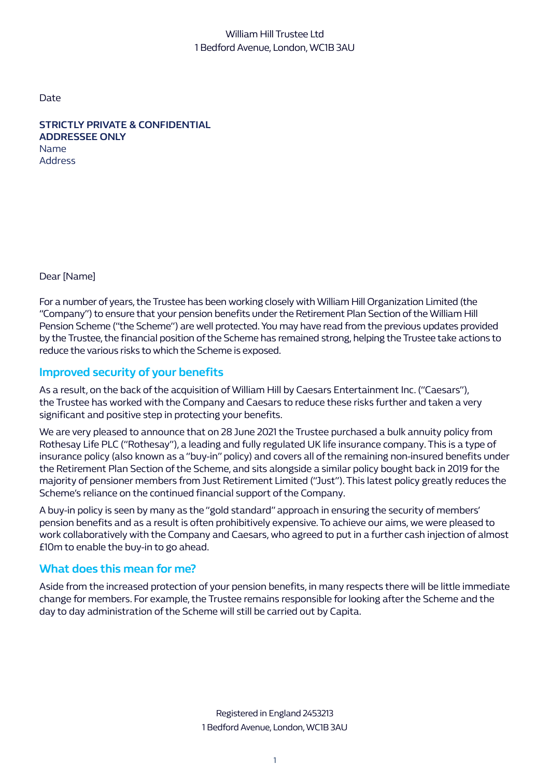## William Hill Trustee Ltd 1 Bedford Avenue, London, WC1B 3AU

Date

**STRICTLY PRIVATE & CONFIDENTIAL ADDRESSEE ONLY**  Name Address

Dear [Name]

For a number of years, the Trustee has been working closely with William Hill Organization Limited (the "Company") to ensure that your pension benefits under the Retirement Plan Section of the William Hill Pension Scheme ("the Scheme") are well protected. You may have read from the previous updates provided by the Trustee, the financial position of the Scheme has remained strong, helping the Trustee take actions to reduce the various risks to which the Scheme is exposed.

# **Improved security of your benefits**

As a result, on the back of the acquisition of William Hill by Caesars Entertainment Inc. ("Caesars"), the Trustee has worked with the Company and Caesars to reduce these risks further and taken a very significant and positive step in protecting your benefits.

We are very pleased to announce that on 28 June 2021 the Trustee purchased a bulk annuity policy from Rothesay Life PLC ("Rothesay"), a leading and fully regulated UK life insurance company. This is a type of insurance policy (also known as a "buy-in" policy) and covers all of the remaining non-insured benefits under the Retirement Plan Section of the Scheme, and sits alongside a similar policy bought back in 2019 for the majority of pensioner members from Just Retirement Limited ("Just"). This latest policy greatly reduces the Scheme's reliance on the continued financial support of the Company.

A buy-in policy is seen by many as the "gold standard" approach in ensuring the security of members' pension benefits and as a result is often prohibitively expensive. To achieve our aims, we were pleased to work collaboratively with the Company and Caesars, who agreed to put in a further cash injection of almost £10m to enable the buy-in to go ahead.

# **What does this mean for me?**

Aside from the increased protection of your pension benefits, in many respects there will be little immediate change for members. For example, the Trustee remains responsible for looking after the Scheme and the day to day administration of the Scheme will still be carried out by Capita.

> Registered in England 2453213 1 Bedford Avenue, London, WC1B 3AU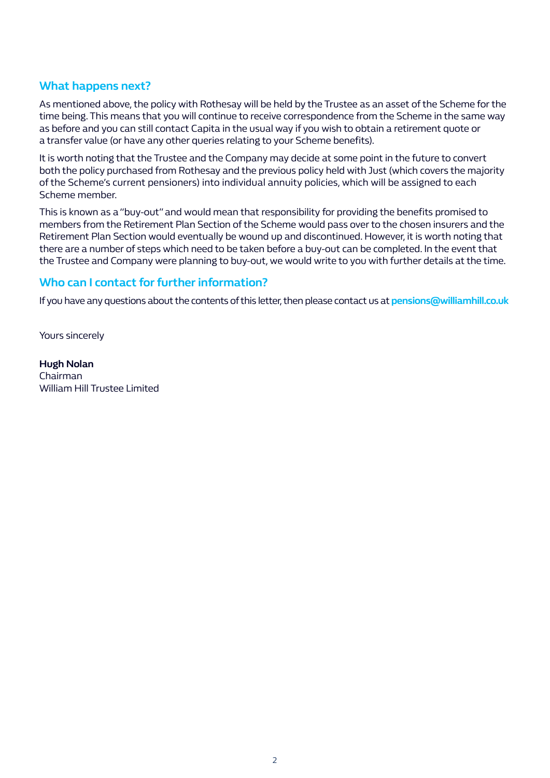#### **What happens next?**

As mentioned above, the policy with Rothesay will be held by the Trustee as an asset of the Scheme for the time being. This means that you will continue to receive correspondence from the Scheme in the same way as before and you can still contact Capita in the usual way if you wish to obtain a retirement quote or a transfer value (or have any other queries relating to your Scheme benefits).

It is worth noting that the Trustee and the Company may decide at some point in the future to convert both the policy purchased from Rothesay and the previous policy held with Just (which covers the majority of the Scheme's current pensioners) into individual annuity policies, which will be assigned to each Scheme member.

This is known as a "buy-out" and would mean that responsibility for providing the benefits promised to members from the Retirement Plan Section of the Scheme would pass over to the chosen insurers and the Retirement Plan Section would eventually be wound up and discontinued. However, it is worth noting that there are a number of steps which need to be taken before a buy-out can be completed. In the event that the Trustee and Company were planning to buy-out, we would write to you with further details at the time.

## **Who can I contact for further information?**

If you have any questions about the contents of this letter, then please contact us at **pensions@williamhill.co.uk**

Yours sincerely

**Hugh Nolan** Chairman William Hill Trustee Limited